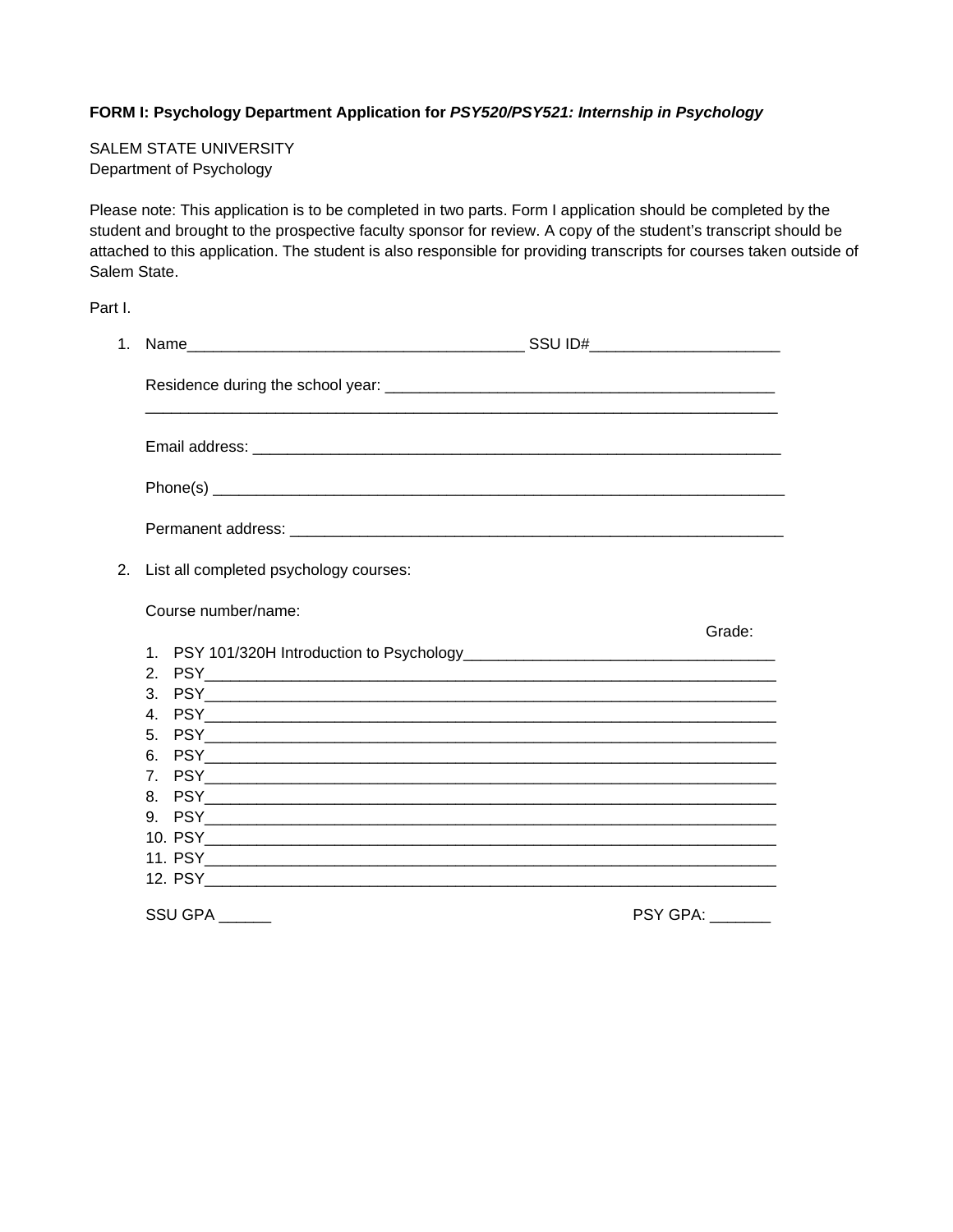#### **FORM I: Psychology Department Application for** *PSY520/PSY521: Internship in Psychology*

SALEM STATE UNIVERSITY Department of Psychology

Please note: This application is to be completed in two parts. Form I application should be completed by the student and brought to the prospective faculty sponsor for review. A copy of the student's transcript should be attached to this application. The student is also responsible for providing transcripts for courses taken outside of Salem State.

Part I.

| 2. | List all completed psychology courses: |                         |
|----|----------------------------------------|-------------------------|
|    | Course number/name:                    |                         |
|    |                                        | Grade:                  |
|    |                                        |                         |
|    |                                        |                         |
|    |                                        |                         |
|    |                                        |                         |
|    |                                        |                         |
|    |                                        |                         |
|    |                                        |                         |
|    |                                        |                         |
|    |                                        |                         |
|    |                                        |                         |
|    |                                        |                         |
|    | SSU GPA                                | <b>PSY GPA:</b> _______ |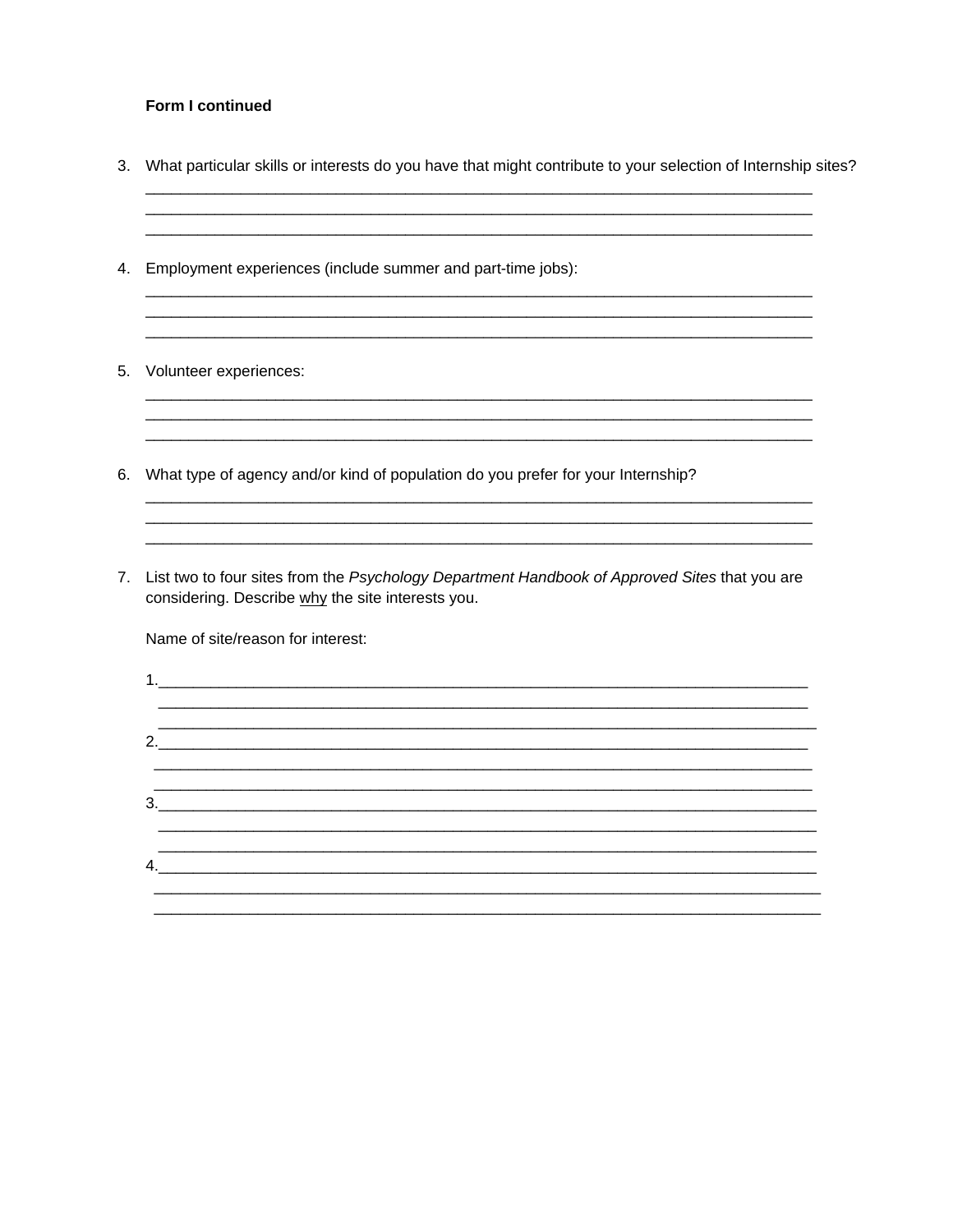#### Form I continued

3. What particular skills or interests do you have that might contribute to your selection of Internship sites?

<u> 1989 - Jan Jan James, mars and de la provincia de la provincia de la provincia de la provincia de la provinci</u>

- 4. Employment experiences (include summer and part-time jobs):
- 5. Volunteer experiences:
- 6. What type of agency and/or kind of population do you prefer for your Internship?
- 7. List two to four sites from the Psychology Department Handbook of Approved Sites that you are considering. Describe why the site interests you.

Name of site/reason for interest:

 $\sim$  2.  $3.$  $4.$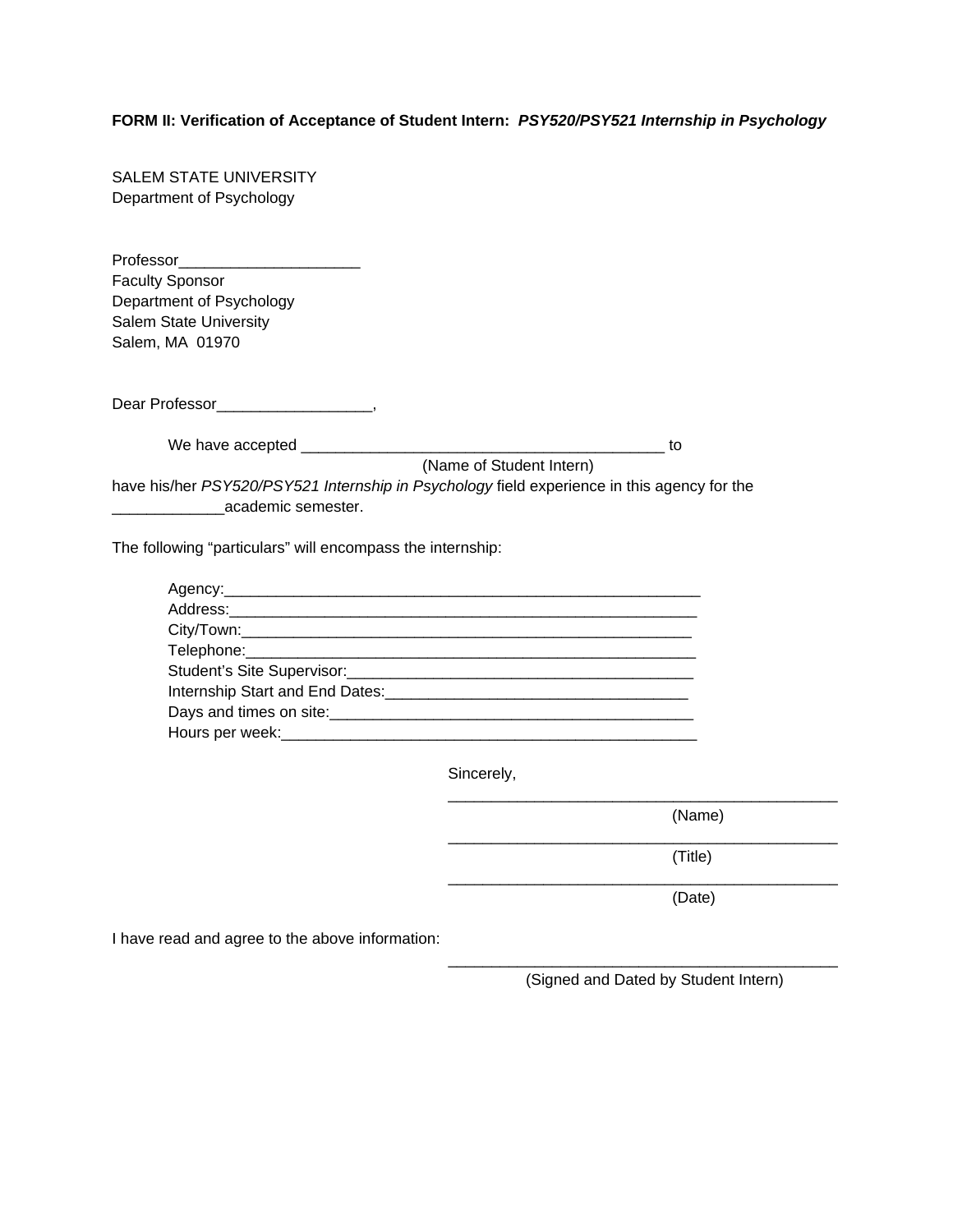### **FORM II: Verification of Acceptance of Student Intern:** *PSY520/PSY521 Internship in Psychology*

| <b>SALEM STATE UNIVERSITY</b>                                                                                                                                                                                                        |
|--------------------------------------------------------------------------------------------------------------------------------------------------------------------------------------------------------------------------------------|
| Department of Psychology                                                                                                                                                                                                             |
|                                                                                                                                                                                                                                      |
| Professor_________________________                                                                                                                                                                                                   |
| <b>Faculty Sponsor</b>                                                                                                                                                                                                               |
| Department of Psychology                                                                                                                                                                                                             |
| Salem State University                                                                                                                                                                                                               |
| Salem, MA 01970                                                                                                                                                                                                                      |
|                                                                                                                                                                                                                                      |
|                                                                                                                                                                                                                                      |
|                                                                                                                                                                                                                                      |
|                                                                                                                                                                                                                                      |
| (Name of Student Intern)                                                                                                                                                                                                             |
|                                                                                                                                                                                                                                      |
| have his/her PSY520/PSY521 Internship in Psychology field experience in this agency for the                                                                                                                                          |
| ____________________academic semester.                                                                                                                                                                                               |
| The following "particulars" will encompass the internship:                                                                                                                                                                           |
| Agency: 2008 2008 2010 2020 2021 2022 2023 2024 2022 2023 2024 2022 2023 2024 2022 2023 2024 2022 20                                                                                                                                 |
|                                                                                                                                                                                                                                      |
|                                                                                                                                                                                                                                      |
|                                                                                                                                                                                                                                      |
|                                                                                                                                                                                                                                      |
|                                                                                                                                                                                                                                      |
| Days and times on site: <u>contained a set of the set of the set of the set of the set of the set of the set of the set of the set of the set of the set of the set of the set of the set of the set of the set of the set of th</u> |
|                                                                                                                                                                                                                                      |
|                                                                                                                                                                                                                                      |

Sincerely,

(Name)

(Title)

(Date)

I have read and agree to the above information:

\_\_\_\_\_\_\_\_\_\_\_\_\_\_\_\_\_\_\_\_\_\_\_\_\_\_\_\_\_\_\_\_\_\_\_\_\_\_\_\_\_\_\_\_\_ (Signed and Dated by Student Intern)

\_\_\_\_\_\_\_\_\_\_\_\_\_\_\_\_\_\_\_\_\_\_\_\_\_\_\_\_\_\_\_\_\_\_\_\_\_\_\_\_\_\_\_\_\_

\_\_\_\_\_\_\_\_\_\_\_\_\_\_\_\_\_\_\_\_\_\_\_\_\_\_\_\_\_\_\_\_\_\_\_\_\_\_\_\_\_\_\_\_\_

\_\_\_\_\_\_\_\_\_\_\_\_\_\_\_\_\_\_\_\_\_\_\_\_\_\_\_\_\_\_\_\_\_\_\_\_\_\_\_\_\_\_\_\_\_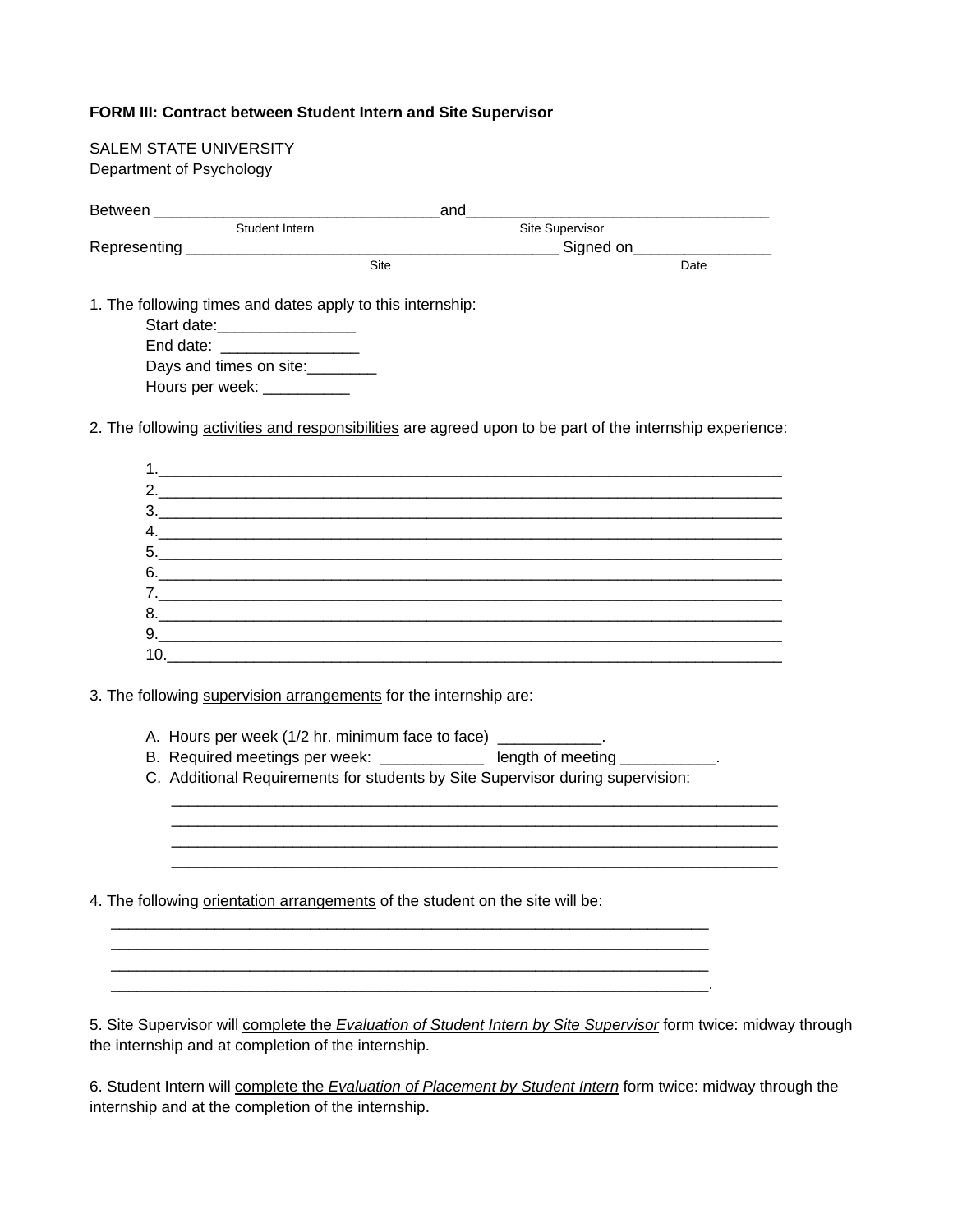#### **FORM III: Contract between Student Intern and Site Supervisor**

| Student Intern                                                                | Site Supervisor                                                                                           |  |  |
|-------------------------------------------------------------------------------|-----------------------------------------------------------------------------------------------------------|--|--|
|                                                                               | _______________ Signed on__________________                                                               |  |  |
|                                                                               | Site<br>Date                                                                                              |  |  |
| 1. The following times and dates apply to this internship:                    |                                                                                                           |  |  |
| Start date:__________________                                                 |                                                                                                           |  |  |
| End date: __________________                                                  |                                                                                                           |  |  |
| Days and times on site:                                                       |                                                                                                           |  |  |
| Hours per week: ___________                                                   |                                                                                                           |  |  |
|                                                                               | 2. The following activities and responsibilities are agreed upon to be part of the internship experience: |  |  |
|                                                                               |                                                                                                           |  |  |
|                                                                               |                                                                                                           |  |  |
|                                                                               |                                                                                                           |  |  |
|                                                                               |                                                                                                           |  |  |
|                                                                               |                                                                                                           |  |  |
|                                                                               |                                                                                                           |  |  |
|                                                                               |                                                                                                           |  |  |
|                                                                               |                                                                                                           |  |  |
|                                                                               |                                                                                                           |  |  |
|                                                                               |                                                                                                           |  |  |
|                                                                               |                                                                                                           |  |  |
| 3. The following supervision arrangements for the internship are:             |                                                                                                           |  |  |
|                                                                               |                                                                                                           |  |  |
|                                                                               | A. Hours per week (1/2 hr. minimum face to face) ____________.                                            |  |  |
|                                                                               | B. Required meetings per week: _____________ length of meeting ___________.                               |  |  |
|                                                                               | C. Additional Requirements for students by Site Supervisor during supervision:                            |  |  |
|                                                                               |                                                                                                           |  |  |
|                                                                               |                                                                                                           |  |  |
|                                                                               |                                                                                                           |  |  |
|                                                                               |                                                                                                           |  |  |
|                                                                               |                                                                                                           |  |  |
| 4. The following orientation arrangements of the student on the site will be: |                                                                                                           |  |  |
|                                                                               |                                                                                                           |  |  |
|                                                                               |                                                                                                           |  |  |
|                                                                               |                                                                                                           |  |  |
|                                                                               |                                                                                                           |  |  |

6. Student Intern will complete the *Evaluation of Placement by Student Intern* form twice: midway through the internship and at the completion of the internship.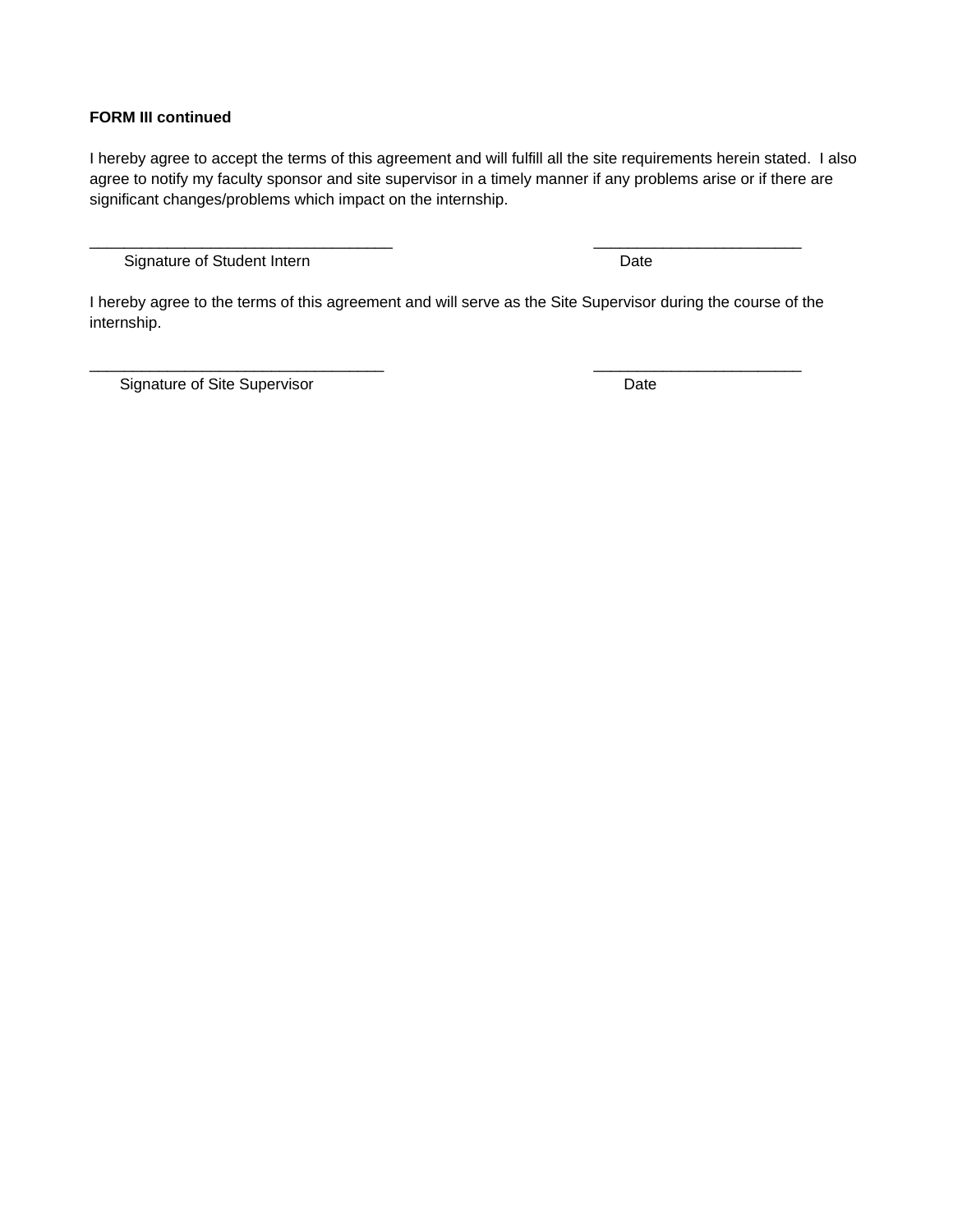#### **FORM III continued**

I hereby agree to accept the terms of this agreement and will fulfill all the site requirements herein stated. I also agree to notify my faculty sponsor and site supervisor in a timely manner if any problems arise or if there are significant changes/problems which impact on the internship.

Signature of Student Intern **Date** 

I hereby agree to the terms of this agreement and will serve as the Site Supervisor during the course of the internship.

\_\_\_\_\_\_\_\_\_\_\_\_\_\_\_\_\_\_\_\_\_\_\_\_\_\_\_\_\_\_\_\_\_\_ \_\_\_\_\_\_\_\_\_\_\_\_\_\_\_\_\_\_\_\_\_\_\_\_

\_\_\_\_\_\_\_\_\_\_\_\_\_\_\_\_\_\_\_\_\_\_\_\_\_\_\_\_\_\_\_\_\_\_\_ \_\_\_\_\_\_\_\_\_\_\_\_\_\_\_\_\_\_\_\_\_\_\_\_

Signature of Site Supervisor **Date**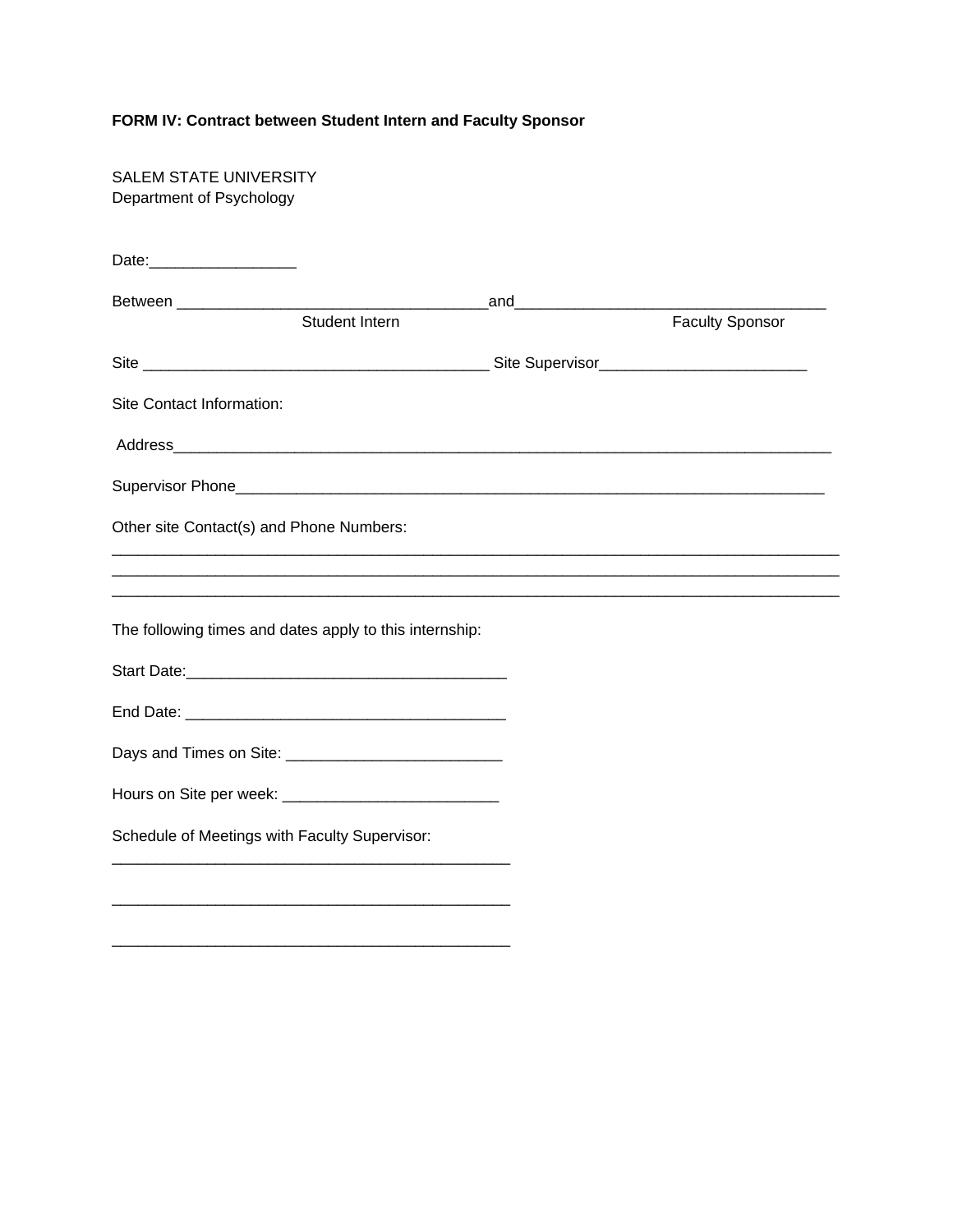## **FORM IV: Contract between Student Intern and Faculty Sponsor**

 $\frac{1}{2}$  ,  $\frac{1}{2}$  ,  $\frac{1}{2}$  ,  $\frac{1}{2}$  ,  $\frac{1}{2}$  ,  $\frac{1}{2}$  ,  $\frac{1}{2}$  ,  $\frac{1}{2}$  ,  $\frac{1}{2}$  ,  $\frac{1}{2}$  ,  $\frac{1}{2}$  ,  $\frac{1}{2}$  ,  $\frac{1}{2}$  ,  $\frac{1}{2}$  ,  $\frac{1}{2}$  ,  $\frac{1}{2}$  ,  $\frac{1}{2}$  ,  $\frac{1}{2}$  ,  $\frac{1$ 

| <b>SALEM STATE UNIVERSITY</b><br>Department of Psychology |                                                         |                               |                        |
|-----------------------------------------------------------|---------------------------------------------------------|-------------------------------|------------------------|
|                                                           |                                                         |                               |                        |
| Between __________________                                |                                                         | _and_________________________ |                        |
|                                                           | Student Intern                                          |                               | <b>Faculty Sponsor</b> |
|                                                           |                                                         |                               |                        |
| Site Contact Information:                                 |                                                         |                               |                        |
|                                                           |                                                         |                               |                        |
|                                                           |                                                         |                               |                        |
|                                                           | Other site Contact(s) and Phone Numbers:                |                               |                        |
|                                                           |                                                         |                               |                        |
|                                                           | The following times and dates apply to this internship: |                               |                        |
|                                                           |                                                         |                               |                        |
|                                                           |                                                         |                               |                        |
|                                                           |                                                         |                               |                        |
|                                                           |                                                         |                               |                        |
|                                                           | Schedule of Meetings with Faculty Supervisor:           |                               |                        |
|                                                           |                                                         |                               |                        |
|                                                           |                                                         |                               |                        |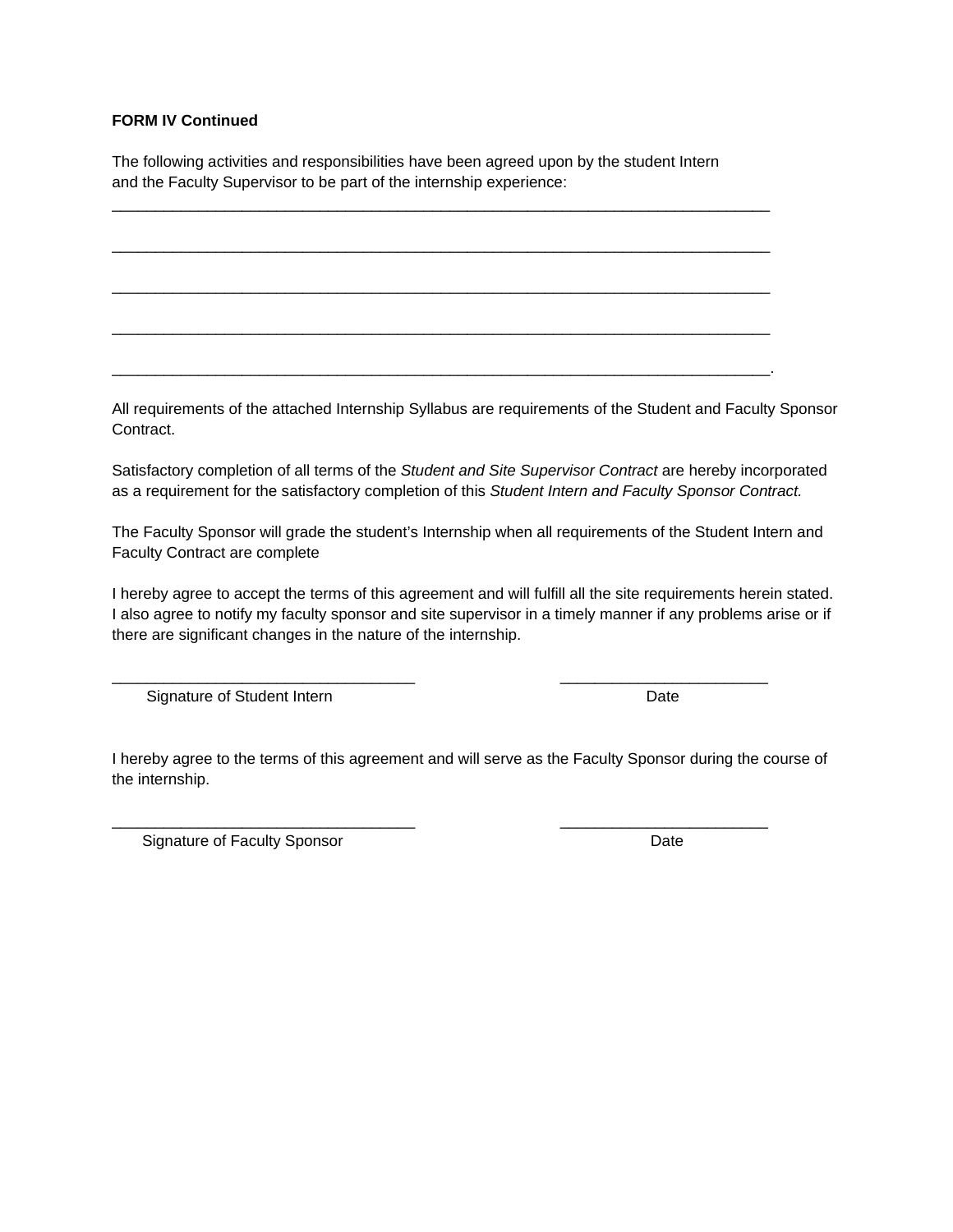#### **FORM IV Continued**

The following activities and responsibilities have been agreed upon by the student Intern and the Faculty Supervisor to be part of the internship experience:

\_\_\_\_\_\_\_\_\_\_\_\_\_\_\_\_\_\_\_\_\_\_\_\_\_\_\_\_\_\_\_\_\_\_\_\_\_\_\_\_\_\_\_\_\_\_\_\_\_\_\_\_\_\_\_\_\_\_\_\_\_\_\_\_\_\_\_\_\_\_\_\_\_\_\_\_

\_\_\_\_\_\_\_\_\_\_\_\_\_\_\_\_\_\_\_\_\_\_\_\_\_\_\_\_\_\_\_\_\_\_\_\_\_\_\_\_\_\_\_\_\_\_\_\_\_\_\_\_\_\_\_\_\_\_\_\_\_\_\_\_\_\_\_\_\_\_\_\_\_\_\_\_

\_\_\_\_\_\_\_\_\_\_\_\_\_\_\_\_\_\_\_\_\_\_\_\_\_\_\_\_\_\_\_\_\_\_\_\_\_\_\_\_\_\_\_\_\_\_\_\_\_\_\_\_\_\_\_\_\_\_\_\_\_\_\_\_\_\_\_\_\_\_\_\_\_\_\_\_

\_\_\_\_\_\_\_\_\_\_\_\_\_\_\_\_\_\_\_\_\_\_\_\_\_\_\_\_\_\_\_\_\_\_\_\_\_\_\_\_\_\_\_\_\_\_\_\_\_\_\_\_\_\_\_\_\_\_\_\_\_\_\_\_\_\_\_\_\_\_\_\_\_\_\_\_

\_\_\_\_\_\_\_\_\_\_\_\_\_\_\_\_\_\_\_\_\_\_\_\_\_\_\_\_\_\_\_\_\_\_\_\_\_\_\_\_\_\_\_\_\_\_\_\_\_\_\_\_\_\_\_\_\_\_\_\_\_\_\_\_\_\_\_\_\_\_\_\_\_\_\_\_.

All requirements of the attached Internship Syllabus are requirements of the Student and Faculty Sponsor Contract.

Satisfactory completion of all terms of the *Student and Site Supervisor Contract* are hereby incorporated as a requirement for the satisfactory completion of this *Student Intern and Faculty Sponsor Contract.*

The Faculty Sponsor will grade the student's Internship when all requirements of the Student Intern and Faculty Contract are complete

I hereby agree to accept the terms of this agreement and will fulfill all the site requirements herein stated. I also agree to notify my faculty sponsor and site supervisor in a timely manner if any problems arise or if there are significant changes in the nature of the internship.

 $\frac{1}{2}$  ,  $\frac{1}{2}$  ,  $\frac{1}{2}$  ,  $\frac{1}{2}$  ,  $\frac{1}{2}$  ,  $\frac{1}{2}$  ,  $\frac{1}{2}$  ,  $\frac{1}{2}$  ,  $\frac{1}{2}$  ,  $\frac{1}{2}$  ,  $\frac{1}{2}$  ,  $\frac{1}{2}$  ,  $\frac{1}{2}$  ,  $\frac{1}{2}$  ,  $\frac{1}{2}$  ,  $\frac{1}{2}$  ,  $\frac{1}{2}$  ,  $\frac{1}{2}$  ,  $\frac{1$ 

 $\frac{1}{2}$  ,  $\frac{1}{2}$  ,  $\frac{1}{2}$  ,  $\frac{1}{2}$  ,  $\frac{1}{2}$  ,  $\frac{1}{2}$  ,  $\frac{1}{2}$  ,  $\frac{1}{2}$  ,  $\frac{1}{2}$  ,  $\frac{1}{2}$  ,  $\frac{1}{2}$  ,  $\frac{1}{2}$  ,  $\frac{1}{2}$  ,  $\frac{1}{2}$  ,  $\frac{1}{2}$  ,  $\frac{1}{2}$  ,  $\frac{1}{2}$  ,  $\frac{1}{2}$  ,  $\frac{1$ 

Signature of Student Intern **Date** 

I hereby agree to the terms of this agreement and will serve as the Faculty Sponsor during the course of the internship.

Signature of Faculty Sponsor **Date**